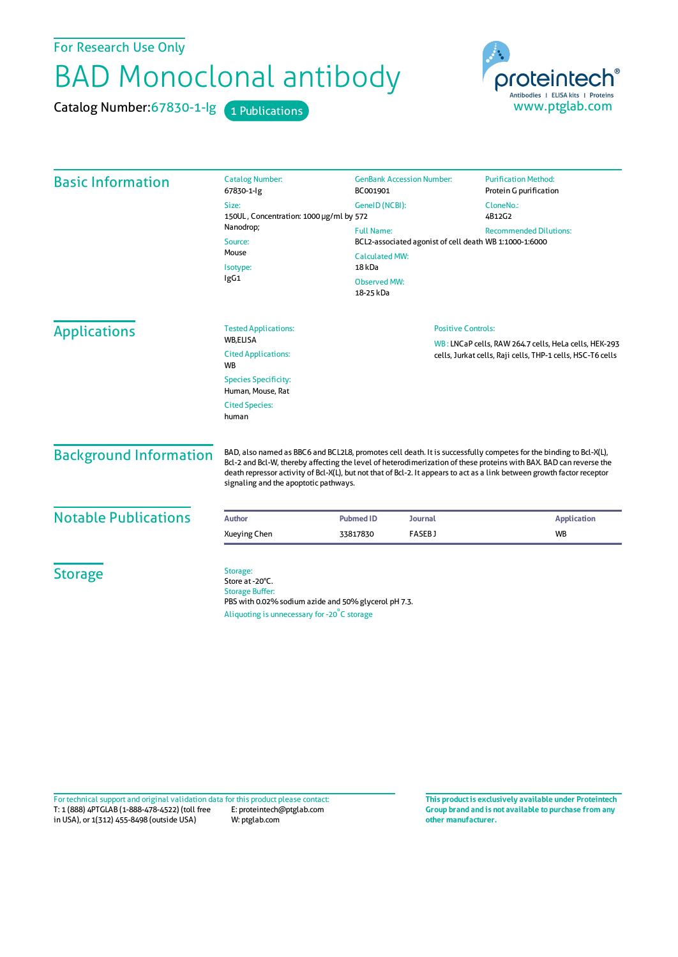For Research Use Only

## BAD Monoclonal antibody

Catalog Number: 67830-1-lg 1 Publications



| <b>Basic Information</b>      | <b>Catalog Number:</b><br>67830-1-lg                                                                                                                         | <b>GenBank Accession Number:</b><br>BC001901                                                                                                                         |  | <b>Purification Method:</b><br>Protein G purification                                                                                                                                                                                                                                                                                                              |
|-------------------------------|--------------------------------------------------------------------------------------------------------------------------------------------------------------|----------------------------------------------------------------------------------------------------------------------------------------------------------------------|--|--------------------------------------------------------------------------------------------------------------------------------------------------------------------------------------------------------------------------------------------------------------------------------------------------------------------------------------------------------------------|
|                               | Size:<br>150UL, Concentration: 1000 µg/ml by 572<br>Nanodrop;<br>Source:<br>Mouse<br>Isotype:<br>lgG1                                                        | GenelD (NCBI):<br><b>Full Name:</b><br>BCL2-associated agonist of cell death WB 1:1000-1:6000<br><b>Calculated MW:</b><br>18 kDa<br><b>Observed MW:</b><br>18-25 kDa |  | CloneNo.:<br>4B12G2<br><b>Recommended Dilutions:</b>                                                                                                                                                                                                                                                                                                               |
| <b>Applications</b>           | <b>Tested Applications:</b><br><b>WB.ELISA</b><br><b>Cited Applications:</b><br><b>WB</b><br><b>Species Specificity:</b>                                     | <b>Positive Controls:</b><br>WB: LNCaP cells, RAW 264.7 cells, HeLa cells, HEK-293<br>cells, Jurkat cells, Raji cells, THP-1 cells, HSC-T6 cells                     |  |                                                                                                                                                                                                                                                                                                                                                                    |
|                               | Human, Mouse, Rat<br><b>Cited Species:</b><br>human                                                                                                          |                                                                                                                                                                      |  |                                                                                                                                                                                                                                                                                                                                                                    |
| <b>Background Information</b> | signaling and the apoptotic pathways.                                                                                                                        |                                                                                                                                                                      |  | BAD, also named as BBC6 and BCL2L8, promotes cell death. It is successfully competes for the binding to Bcl-X(L),<br>Bcl-2 and Bcl-W, thereby affecting the level of heterodimerization of these proteins with BAX. BAD can reverse the<br>death repressor activity of Bcl-X(L), but not that of Bcl-2. It appears to act as a link between growth factor receptor |
| <b>Notable Publications</b>   | <b>Author</b>                                                                                                                                                | <b>Pubmed ID</b><br><b>Journal</b>                                                                                                                                   |  | <b>Application</b>                                                                                                                                                                                                                                                                                                                                                 |
|                               | <b>Xueying Chen</b>                                                                                                                                          | <b>FASEBJ</b><br>33817830                                                                                                                                            |  | <b>WB</b>                                                                                                                                                                                                                                                                                                                                                          |
| <b>Storage</b>                | Storage:<br>Store at -20°C.<br><b>Storage Buffer:</b><br>PBS with 0.02% sodium azide and 50% glycerol pH 7.3.<br>Aliquoting is unnecessary for -20°C storage |                                                                                                                                                                      |  |                                                                                                                                                                                                                                                                                                                                                                    |

T: 1 (888) 4PTGLAB (1-888-478-4522) (toll free in USA), or 1(312) 455-8498 (outside USA) E: proteintech@ptglab.com W: ptglab.com Fortechnical support and original validation data forthis product please contact: **This productis exclusively available under Proteintech**

**Group brand and is not available to purchase from any other manufacturer.**